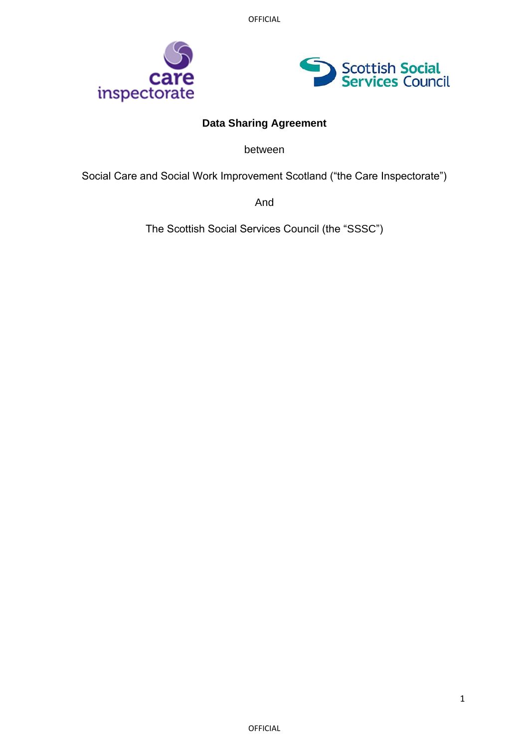OFFICIAL





# **Data Sharing Agreement**

between

Social Care and Social Work Improvement Scotland ("the Care Inspectorate")

And

The Scottish Social Services Council (the "SSSC")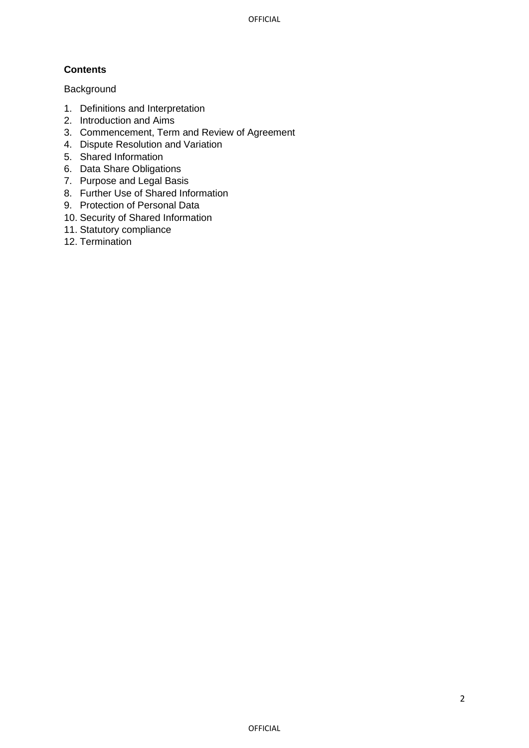# **Contents**

## Background

- 1. Definitions and Interpretation
- 2. Introduction and Aims
- 3. Commencement, Term and Review of Agreement
- 4. Dispute Resolution and Variation
- 5. Shared Information
- 6. Data Share Obligations
- 7. Purpose and Legal Basis
- 8. Further Use of Shared Information
- 9. Protection of Personal Data
- 10. Security of Shared Information
- 11. Statutory compliance
- 12. Termination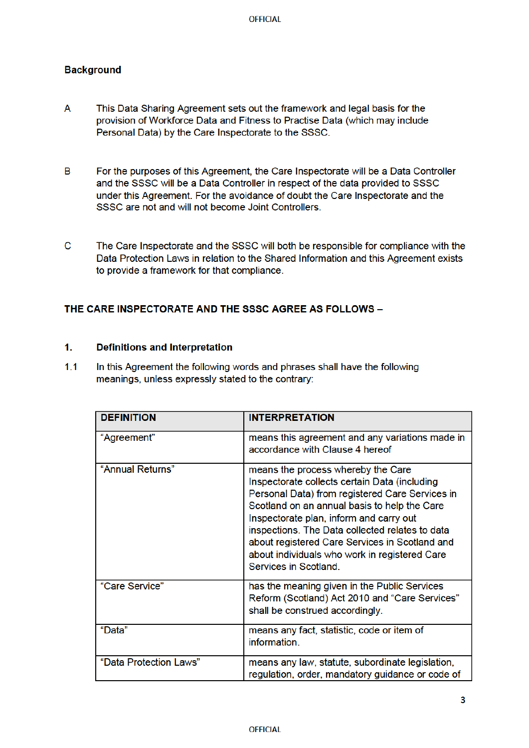## **Background**

- A This Data Sharing Agreement sets out the framework and legal basis for the provision of Workforce Data and Fitness to Practise Data (which may include Personal Data) by the Care Inspectorate to the SSSC.
- $\overline{B}$ For the purposes of this Agreement, the Care Inspectorate will be a Data Controller and the SSSC will be a Data Controller in respect of the data provided to SSSC under this Agreement. For the avoidance of doubt the Care Inspectorate and the SSSC are not and will not become Joint Controllers.
- $\mathbf{C}$ The Care Inspectorate and the SSSC will both be responsible for compliance with the Data Protection Laws in relation to the Shared Information and this Agreement exists to provide a framework for that compliance.

## THE CARE INSPECTORATE AND THE SSSC AGREE AS FOLLOWS -

#### $1<sup>1</sup>$ **Definitions and Interpretation**

 $1.1$ In this Agreement the following words and phrases shall have the following meanings, unless expressly stated to the contrary:

| <b>DEFINITION</b>      | <b>INTERPRETATION</b>                                                                                                                                                                                                                                                                                                                                                                                            |
|------------------------|------------------------------------------------------------------------------------------------------------------------------------------------------------------------------------------------------------------------------------------------------------------------------------------------------------------------------------------------------------------------------------------------------------------|
| "Agreement"            | means this agreement and any variations made in<br>accordance with Clause 4 hereof                                                                                                                                                                                                                                                                                                                               |
| "Annual Returns"       | means the process whereby the Care<br>Inspectorate collects certain Data (including<br>Personal Data) from registered Care Services in<br>Scotland on an annual basis to help the Care<br>Inspectorate plan, inform and carry out<br>inspections. The Data collected relates to data<br>about registered Care Services in Scotland and<br>about individuals who work in registered Care<br>Services in Scotland. |
| "Care Service"         | has the meaning given in the Public Services<br>Reform (Scotland) Act 2010 and "Care Services"<br>shall be construed accordingly.                                                                                                                                                                                                                                                                                |
| "Data"                 | means any fact, statistic, code or item of<br>information.                                                                                                                                                                                                                                                                                                                                                       |
| "Data Protection Laws" | means any law, statute, subordinate legislation,<br>regulation, order, mandatory guidance or code of                                                                                                                                                                                                                                                                                                             |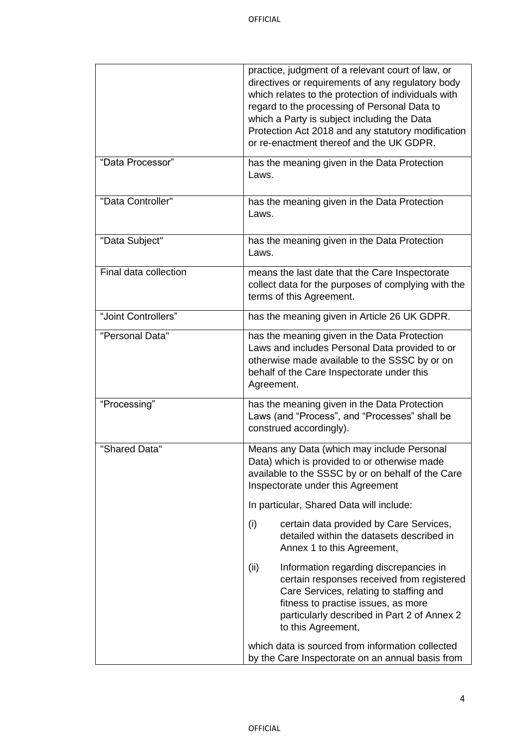|                       | practice, judgment of a relevant court of law, or<br>directives or requirements of any regulatory body<br>which relates to the protection of individuals with<br>regard to the processing of Personal Data to<br>which a Party is subject including the Data<br>Protection Act 2018 and any statutory modification<br>or re-enactment thereof and the UK GDPR. |
|-----------------------|----------------------------------------------------------------------------------------------------------------------------------------------------------------------------------------------------------------------------------------------------------------------------------------------------------------------------------------------------------------|
| "Data Processor"      | has the meaning given in the Data Protection<br>Laws.                                                                                                                                                                                                                                                                                                          |
| "Data Controller"     | has the meaning given in the Data Protection<br>Laws.                                                                                                                                                                                                                                                                                                          |
| "Data Subject"        | has the meaning given in the Data Protection<br>Laws.                                                                                                                                                                                                                                                                                                          |
| Final data collection | means the last date that the Care Inspectorate<br>collect data for the purposes of complying with the<br>terms of this Agreement.                                                                                                                                                                                                                              |
| "Joint Controllers"   | has the meaning given in Article 26 UK GDPR.                                                                                                                                                                                                                                                                                                                   |
| "Personal Data"       | has the meaning given in the Data Protection<br>Laws and includes Personal Data provided to or<br>otherwise made available to the SSSC by or on<br>behalf of the Care Inspectorate under this<br>Agreement.                                                                                                                                                    |
| "Processing"          | has the meaning given in the Data Protection<br>Laws (and "Process", and "Processes" shall be<br>construed accordingly).                                                                                                                                                                                                                                       |
| "Shared Data"         | Means any Data (which may include Personal<br>Data) which is provided to or otherwise made<br>available to the SSSC by or on behalf of the Care<br>Inspectorate under this Agreement                                                                                                                                                                           |
|                       | In particular, Shared Data will include:                                                                                                                                                                                                                                                                                                                       |
|                       | (i)<br>certain data provided by Care Services,<br>detailed within the datasets described in<br>Annex 1 to this Agreement,                                                                                                                                                                                                                                      |
|                       | Information regarding discrepancies in<br>(ii)<br>certain responses received from registered<br>Care Services, relating to staffing and<br>fitness to practise issues, as more<br>particularly described in Part 2 of Annex 2<br>to this Agreement,                                                                                                            |
|                       | which data is sourced from information collected<br>by the Care Inspectorate on an annual basis from                                                                                                                                                                                                                                                           |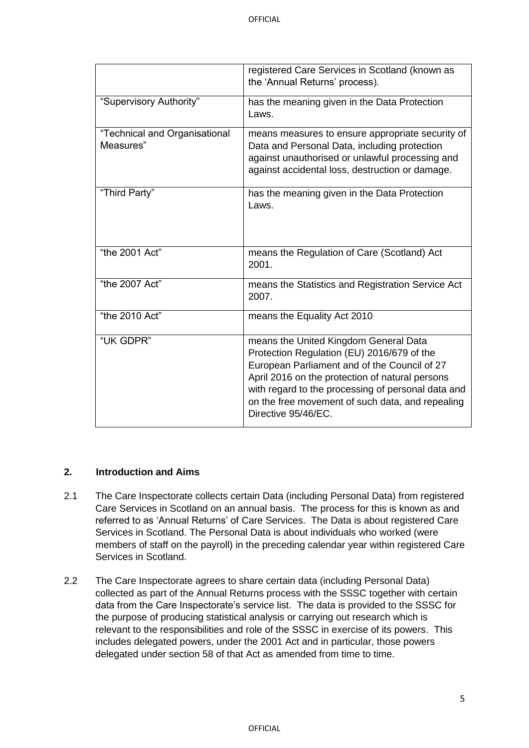|                                            | registered Care Services in Scotland (known as<br>the 'Annual Returns' process).                                                                                                                                                                                                                                        |
|--------------------------------------------|-------------------------------------------------------------------------------------------------------------------------------------------------------------------------------------------------------------------------------------------------------------------------------------------------------------------------|
| "Supervisory Authority"                    | has the meaning given in the Data Protection<br>Laws.                                                                                                                                                                                                                                                                   |
| "Technical and Organisational<br>Measures" | means measures to ensure appropriate security of<br>Data and Personal Data, including protection<br>against unauthorised or unlawful processing and<br>against accidental loss, destruction or damage.                                                                                                                  |
| "Third Party"                              | has the meaning given in the Data Protection<br>Laws.                                                                                                                                                                                                                                                                   |
| "the 2001 Act"                             | means the Regulation of Care (Scotland) Act<br>2001.                                                                                                                                                                                                                                                                    |
| "the 2007 Act"                             | means the Statistics and Registration Service Act<br>2007.                                                                                                                                                                                                                                                              |
| "the 2010 Act"                             | means the Equality Act 2010                                                                                                                                                                                                                                                                                             |
| "UK GDPR"                                  | means the United Kingdom General Data<br>Protection Regulation (EU) 2016/679 of the<br>European Parliament and of the Council of 27<br>April 2016 on the protection of natural persons<br>with regard to the processing of personal data and<br>on the free movement of such data, and repealing<br>Directive 95/46/EC. |

#### **2. Introduction and Aims**

- 2.1 The Care Inspectorate collects certain Data (including Personal Data) from registered Care Services in Scotland on an annual basis. The process for this is known as and referred to as 'Annual Returns' of Care Services. The Data is about registered Care Services in Scotland. The Personal Data is about individuals who worked (were members of staff on the payroll) in the preceding calendar year within registered Care Services in Scotland.
- 2.2 The Care Inspectorate agrees to share certain data (including Personal Data) collected as part of the Annual Returns process with the SSSC together with certain data from the Care Inspectorate's service list. The data is provided to the SSSC for the purpose of producing statistical analysis or carrying out research which is relevant to the responsibilities and role of the SSSC in exercise of its powers. This includes delegated powers, under the 2001 Act and in particular, those powers delegated under section 58 of that Act as amended from time to time.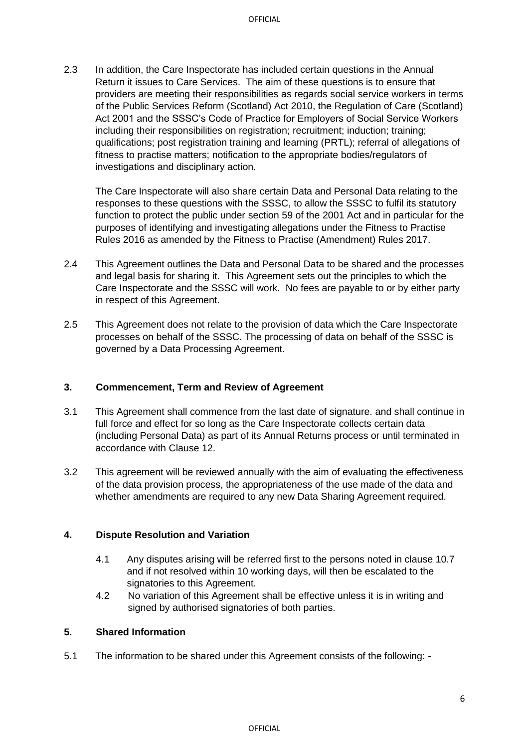2.3 In addition, the Care Inspectorate has included certain questions in the Annual Return it issues to Care Services. The aim of these questions is to ensure that providers are meeting their responsibilities as regards social service workers in terms of the Public Services Reform (Scotland) Act 2010, the Regulation of Care (Scotland) Act 2001 and the SSSC's Code of Practice for Employers of Social Service Workers including their responsibilities on registration; recruitment; induction; training; qualifications; post registration training and learning (PRTL); referral of allegations of fitness to practise matters; notification to the appropriate bodies/regulators of investigations and disciplinary action.

The Care Inspectorate will also share certain Data and Personal Data relating to the responses to these questions with the SSSC, to allow the SSSC to fulfil its statutory function to protect the public under section 59 of the 2001 Act and in particular for the purposes of identifying and investigating allegations under the Fitness to Practise Rules 2016 as amended by the Fitness to Practise (Amendment) Rules 2017.

- 2.4 This Agreement outlines the Data and Personal Data to be shared and the processes and legal basis for sharing it. This Agreement sets out the principles to which the Care Inspectorate and the SSSC will work. No fees are payable to or by either party in respect of this Agreement.
- 2.5 This Agreement does not relate to the provision of data which the Care Inspectorate processes on behalf of the SSSC. The processing of data on behalf of the SSSC is governed by a Data Processing Agreement.

#### **3. Commencement, Term and Review of Agreement**

- 3.1 This Agreement shall commence from the last date of signature. and shall continue in full force and effect for so long as the Care Inspectorate collects certain data (including Personal Data) as part of its Annual Returns process or until terminated in accordance with Clause 12.
- 3.2 This agreement will be reviewed annually with the aim of evaluating the effectiveness of the data provision process, the appropriateness of the use made of the data and whether amendments are required to any new Data Sharing Agreement required.

#### **4. Dispute Resolution and Variation**

- 4.1 Any disputes arising will be referred first to the persons noted in clause 10.7 and if not resolved within 10 working days, will then be escalated to the signatories to this Agreement.
- 4.2 No variation of this Agreement shall be effective unless it is in writing and signed by authorised signatories of both parties.

#### **5. Shared Information**

5.1 The information to be shared under this Agreement consists of the following: -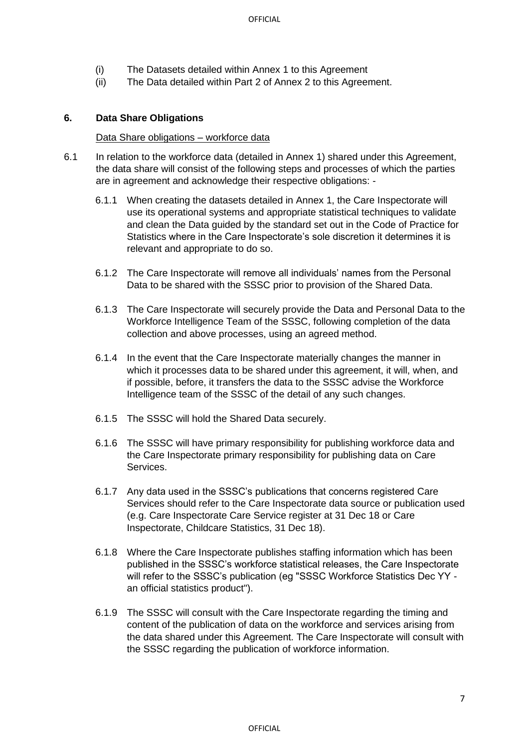- (i) The Datasets detailed within Annex 1 to this Agreement
- (ii) The Data detailed within Part 2 of Annex 2 to this Agreement.

#### **6. Data Share Obligations**

#### Data Share obligations – workforce data

- 6.1 In relation to the workforce data (detailed in Annex 1) shared under this Agreement, the data share will consist of the following steps and processes of which the parties are in agreement and acknowledge their respective obligations: -
	- 6.1.1 When creating the datasets detailed in Annex 1, the Care Inspectorate will use its operational systems and appropriate statistical techniques to validate and clean the Data guided by the standard set out in the Code of Practice for Statistics where in the Care Inspectorate's sole discretion it determines it is relevant and appropriate to do so.
	- 6.1.2 The Care Inspectorate will remove all individuals' names from the Personal Data to be shared with the SSSC prior to provision of the Shared Data.
	- 6.1.3 The Care Inspectorate will securely provide the Data and Personal Data to the Workforce Intelligence Team of the SSSC, following completion of the data collection and above processes, using an agreed method.
	- 6.1.4 In the event that the Care Inspectorate materially changes the manner in which it processes data to be shared under this agreement, it will, when, and if possible, before, it transfers the data to the SSSC advise the Workforce Intelligence team of the SSSC of the detail of any such changes.
	- 6.1.5 The SSSC will hold the Shared Data securely.
	- 6.1.6 The SSSC will have primary responsibility for publishing workforce data and the Care Inspectorate primary responsibility for publishing data on Care Services.
	- 6.1.7 Any data used in the SSSC's publications that concerns registered Care Services should refer to the Care Inspectorate data source or publication used (e.g. Care Inspectorate Care Service register at 31 Dec 18 or Care Inspectorate, Childcare Statistics, 31 Dec 18).
	- 6.1.8 Where the Care Inspectorate publishes staffing information which has been published in the SSSC's workforce statistical releases, the Care Inspectorate will refer to the SSSC's publication (eg "SSSC Workforce Statistics Dec YY an official statistics product").
	- 6.1.9 The SSSC will consult with the Care Inspectorate regarding the timing and content of the publication of data on the workforce and services arising from the data shared under this Agreement. The Care Inspectorate will consult with the SSSC regarding the publication of workforce information.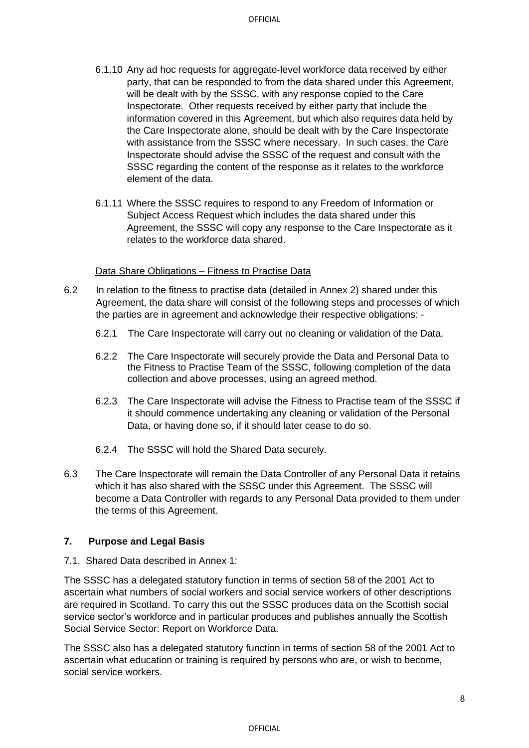- 6.1.10 Any ad hoc requests for aggregate-level workforce data received by either party, that can be responded to from the data shared under this Agreement, will be dealt with by the SSSC, with any response copied to the Care Inspectorate. Other requests received by either party that include the information covered in this Agreement, but which also requires data held by the Care Inspectorate alone, should be dealt with by the Care Inspectorate with assistance from the SSSC where necessary. In such cases, the Care Inspectorate should advise the SSSC of the request and consult with the SSSC regarding the content of the response as it relates to the workforce element of the data.
- 6.1.11 Where the SSSC requires to respond to any Freedom of Information or Subject Access Request which includes the data shared under this Agreement, the SSSC will copy any response to the Care Inspectorate as it relates to the workforce data shared.

#### Data Share Obligations – Fitness to Practise Data

- 6.2 In relation to the fitness to practise data (detailed in Annex 2) shared under this Agreement, the data share will consist of the following steps and processes of which the parties are in agreement and acknowledge their respective obligations: -
	- 6.2.1 The Care Inspectorate will carry out no cleaning or validation of the Data.
	- 6.2.2 The Care Inspectorate will securely provide the Data and Personal Data to the Fitness to Practise Team of the SSSC, following completion of the data collection and above processes, using an agreed method.
	- 6.2.3 The Care Inspectorate will advise the Fitness to Practise team of the SSSC if it should commence undertaking any cleaning or validation of the Personal Data, or having done so, if it should later cease to do so.
	- 6.2.4 The SSSC will hold the Shared Data securely.
- 6.3 The Care Inspectorate will remain the Data Controller of any Personal Data it retains which it has also shared with the SSSC under this Agreement. The SSSC will become a Data Controller with regards to any Personal Data provided to them under the terms of this Agreement.

#### **7. Purpose and Legal Basis**

7.1. Shared Data described in Annex 1:

The SSSC has a delegated statutory function in terms of section 58 of the 2001 Act to ascertain what numbers of social workers and social service workers of other descriptions are required in Scotland. To carry this out the SSSC produces data on the Scottish social service sector's workforce and in particular produces and publishes annually the Scottish Social Service Sector: Report on Workforce Data.

The SSSC also has a delegated statutory function in terms of section 58 of the 2001 Act to ascertain what education or training is required by persons who are, or wish to become, social service workers.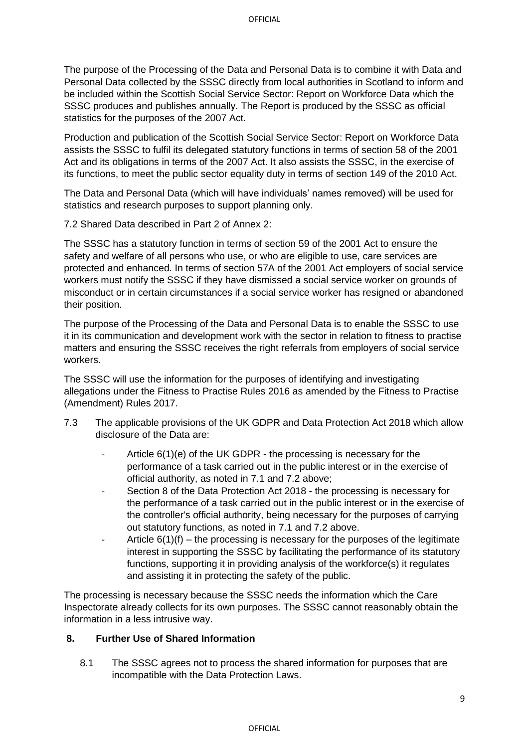The purpose of the Processing of the Data and Personal Data is to combine it with Data and Personal Data collected by the SSSC directly from local authorities in Scotland to inform and be included within the Scottish Social Service Sector: Report on Workforce Data which the SSSC produces and publishes annually. The Report is produced by the SSSC as official statistics for the purposes of the 2007 Act.

Production and publication of the Scottish Social Service Sector: Report on Workforce Data assists the SSSC to fulfil its delegated statutory functions in terms of section 58 of the 2001 Act and its obligations in terms of the 2007 Act. It also assists the SSSC, in the exercise of its functions, to meet the public sector equality duty in terms of section 149 of the 2010 Act.

The Data and Personal Data (which will have individuals' names removed) will be used for statistics and research purposes to support planning only.

7.2 Shared Data described in Part 2 of Annex 2:

The SSSC has a statutory function in terms of section 59 of the 2001 Act to ensure the safety and welfare of all persons who use, or who are eligible to use, care services are protected and enhanced. In terms of section 57A of the 2001 Act employers of social service workers must notify the SSSC if they have dismissed a social service worker on grounds of misconduct or in certain circumstances if a social service worker has resigned or abandoned their position.

The purpose of the Processing of the Data and Personal Data is to enable the SSSC to use it in its communication and development work with the sector in relation to fitness to practise matters and ensuring the SSSC receives the right referrals from employers of social service workers.

The SSSC will use the information for the purposes of identifying and investigating allegations under the Fitness to Practise Rules 2016 as amended by the Fitness to Practise (Amendment) Rules 2017.

- 7.3 The applicable provisions of the UK GDPR and Data Protection Act 2018 which allow disclosure of the Data are:
	- Article  $6(1)(e)$  of the UK GDPR the processing is necessary for the performance of a task carried out in the public interest or in the exercise of official authority, as noted in 7.1 and 7.2 above;
	- Section 8 of the Data Protection Act 2018 the processing is necessary for the performance of a task carried out in the public interest or in the exercise of the controller's official authority, being necessary for the purposes of carrying out statutory functions, as noted in 7.1 and 7.2 above.
	- Article  $6(1)(f)$  the processing is necessary for the purposes of the legitimate interest in supporting the SSSC by facilitating the performance of its statutory functions, supporting it in providing analysis of the workforce(s) it regulates and assisting it in protecting the safety of the public.

The processing is necessary because the SSSC needs the information which the Care Inspectorate already collects for its own purposes. The SSSC cannot reasonably obtain the information in a less intrusive way.

### **8. Further Use of Shared Information**

8.1 The SSSC agrees not to process the shared information for purposes that are incompatible with the Data Protection Laws.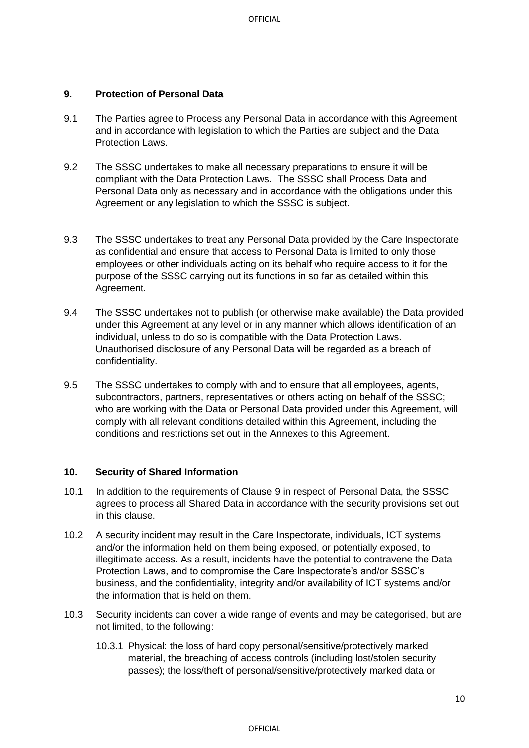#### **9. Protection of Personal Data**

- 9.1 The Parties agree to Process any Personal Data in accordance with this Agreement and in accordance with legislation to which the Parties are subject and the Data Protection Laws.
- 9.2 The SSSC undertakes to make all necessary preparations to ensure it will be compliant with the Data Protection Laws. The SSSC shall Process Data and Personal Data only as necessary and in accordance with the obligations under this Agreement or any legislation to which the SSSC is subject.
- 9.3 The SSSC undertakes to treat any Personal Data provided by the Care Inspectorate as confidential and ensure that access to Personal Data is limited to only those employees or other individuals acting on its behalf who require access to it for the purpose of the SSSC carrying out its functions in so far as detailed within this Agreement.
- 9.4 The SSSC undertakes not to publish (or otherwise make available) the Data provided under this Agreement at any level or in any manner which allows identification of an individual, unless to do so is compatible with the Data Protection Laws. Unauthorised disclosure of any Personal Data will be regarded as a breach of confidentiality.
- 9.5 The SSSC undertakes to comply with and to ensure that all employees, agents, subcontractors, partners, representatives or others acting on behalf of the SSSC; who are working with the Data or Personal Data provided under this Agreement, will comply with all relevant conditions detailed within this Agreement, including the conditions and restrictions set out in the Annexes to this Agreement.

#### **10. Security of Shared Information**

- 10.1 In addition to the requirements of Clause 9 in respect of Personal Data, the SSSC agrees to process all Shared Data in accordance with the security provisions set out in this clause.
- 10.2 A security incident may result in the Care Inspectorate, individuals, ICT systems and/or the information held on them being exposed, or potentially exposed, to illegitimate access. As a result, incidents have the potential to contravene the Data Protection Laws, and to compromise the Care Inspectorate's and/or SSSC's business, and the confidentiality, integrity and/or availability of ICT systems and/or the information that is held on them.
- 10.3 Security incidents can cover a wide range of events and may be categorised, but are not limited, to the following:
	- 10.3.1 Physical: the loss of hard copy personal/sensitive/protectively marked material, the breaching of access controls (including lost/stolen security passes); the loss/theft of personal/sensitive/protectively marked data or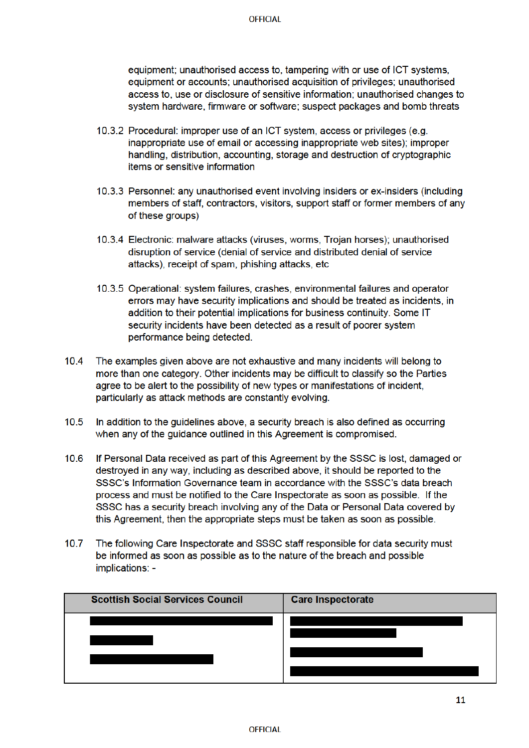equipment; unauthorised access to, tampering with or use of ICT systems. equipment or accounts; unauthorised acquisition of privileges; unauthorised access to, use or disclosure of sensitive information; unauthorised changes to system hardware, firmware or software; suspect packages and bomb threats

- 10.3.2 Procedural: improper use of an ICT system, access or privileges (e.g. inappropriate use of email or accessing inappropriate web sites); improper handling, distribution, accounting, storage and destruction of cryptographic items or sensitive information
- 10.3.3 Personnel: any unauthorised event involving insiders or ex-insiders (including members of staff, contractors, visitors, support staff or former members of any of these groups)
- 10.3.4 Electronic: malware attacks (viruses, worms, Trojan horses); unauthorised disruption of service (denial of service and distributed denial of service attacks), receipt of spam, phishing attacks, etc.
- 10.3.5 Operational: system failures, crashes, environmental failures and operator errors may have security implications and should be treated as incidents, in addition to their potential implications for business continuity. Some IT security incidents have been detected as a result of poorer system performance being detected.
- $10.4$ The examples given above are not exhaustive and many incidents will belong to more than one category. Other incidents may be difficult to classify so the Parties agree to be alert to the possibility of new types or manifestations of incident. particularly as attack methods are constantly evolving.
- $10.5$ In addition to the quidelines above, a security breach is also defined as occurring when any of the quidance outlined in this Agreement is compromised.
- $10.6$ If Personal Data received as part of this Agreement by the SSSC is lost, damaged or destroyed in any way, including as described above, it should be reported to the SSSC's Information Governance team in accordance with the SSSC's data breach process and must be notified to the Care Inspectorate as soon as possible. If the SSSC has a security breach involving any of the Data or Personal Data covered by this Agreement, then the appropriate steps must be taken as soon as possible.
- $10.7$ The following Care Inspectorate and SSSC staff responsible for data security must be informed as soon as possible as to the nature of the breach and possible implications: -

| <b>Scottish Social Services Council</b> | <b>Care Inspectorate</b> |
|-----------------------------------------|--------------------------|
|                                         |                          |
|                                         |                          |
|                                         |                          |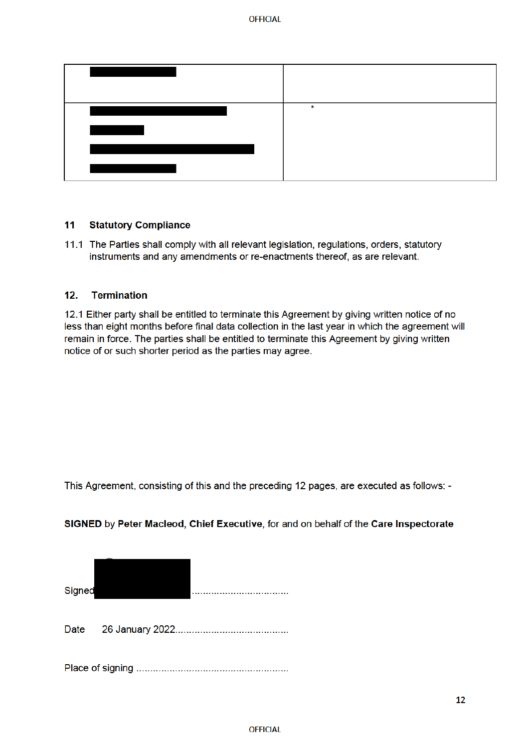| $\star$ |
|---------|
|         |
|         |
|         |

#### $11$ **Statutory Compliance**

11.1 The Parties shall comply with all relevant legislation, regulations, orders, statutory instruments and any amendments or re-enactments thereof, as are relevant.

#### $12.$ **Termination**

12.1 Either party shall be entitled to terminate this Agreement by giving written notice of no less than eight months before final data collection in the last year in which the agreement will remain in force. The parties shall be entitled to terminate this Agreement by giving written notice of or such shorter period as the parties may agree.

This Agreement, consisting of this and the preceding 12 pages, are executed as follows: -



SIGNED by Peter Macleod, Chief Executive, for and on behalf of the Care Inspectorate

Date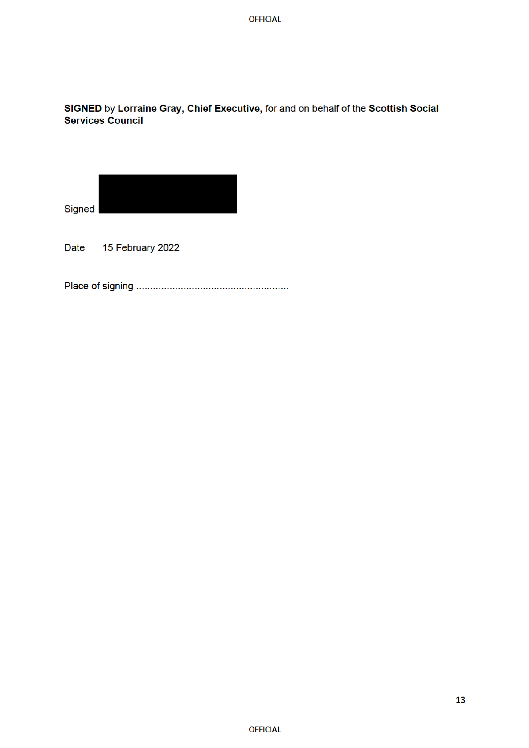**OFFICIAL** 

# SIGNED by Lorraine Gray, Chief Executive, for and on behalf of the Scottish Social **Services Council**



15 February 2022 Date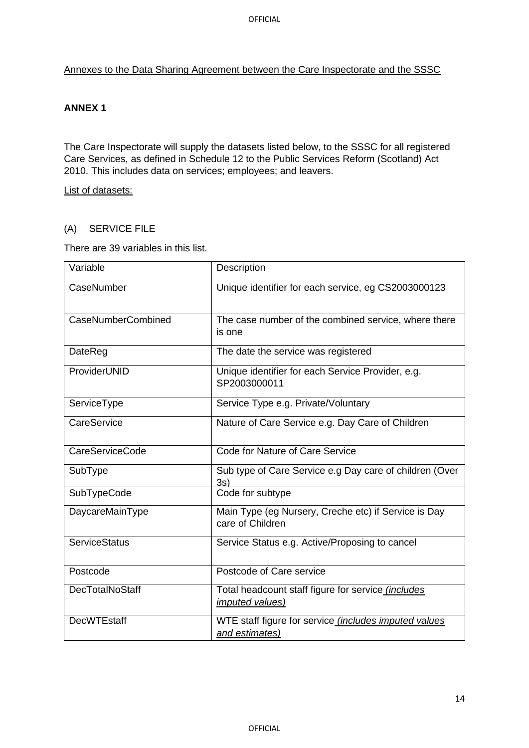Annexes to the Data Sharing Agreement between the Care Inspectorate and the SSSC

### **ANNEX 1**

The Care Inspectorate will supply the datasets listed below, to the SSSC for all registered Care Services, as defined in Schedule 12 to the Public Services Reform (Scotland) Act 2010. This includes data on services; employees; and leavers.

List of datasets:

#### (A) SERVICE FILE

There are 39 variables in this list.

| Variable               | Description                                                                         |
|------------------------|-------------------------------------------------------------------------------------|
| CaseNumber             | Unique identifier for each service, eg CS2003000123                                 |
| CaseNumberCombined     | The case number of the combined service, where there<br>is one                      |
| DateReg                | The date the service was registered                                                 |
| ProviderUNID           | Unique identifier for each Service Provider, e.g.<br>SP2003000011                   |
| ServiceType            | Service Type e.g. Private/Voluntary                                                 |
| CareService            | Nature of Care Service e.g. Day Care of Children                                    |
| <b>CareServiceCode</b> | Code for Nature of Care Service                                                     |
| SubType                | Sub type of Care Service e.g Day care of children (Over<br>3s)                      |
| SubTypeCode            | Code for subtype                                                                    |
| DaycareMainType        | Main Type (eg Nursery, Creche etc) if Service is Day<br>care of Children            |
| <b>ServiceStatus</b>   | Service Status e.g. Active/Proposing to cancel                                      |
| Postcode               | Postcode of Care service                                                            |
| <b>DecTotalNoStaff</b> | Total headcount staff figure for service <i>(includes</i><br><i>imputed values)</i> |
| <b>DecWTEstaff</b>     | WTE staff figure for service <i>(includes imputed values</i><br>and estimates)      |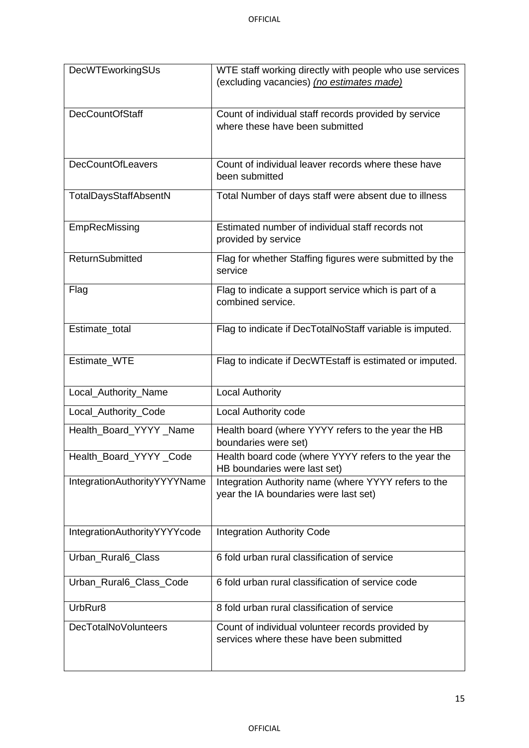| DecWTEworkingSUs             | WTE staff working directly with people who use services<br>(excluding vacancies) (no estimates made) |
|------------------------------|------------------------------------------------------------------------------------------------------|
| <b>DecCountOfStaff</b>       | Count of individual staff records provided by service<br>where these have been submitted             |
| <b>DecCountOfLeavers</b>     | Count of individual leaver records where these have<br>been submitted                                |
| TotalDaysStaffAbsentN        | Total Number of days staff were absent due to illness                                                |
| EmpRecMissing                | Estimated number of individual staff records not<br>provided by service                              |
| <b>ReturnSubmitted</b>       | Flag for whether Staffing figures were submitted by the<br>service                                   |
| Flag                         | Flag to indicate a support service which is part of a<br>combined service.                           |
| Estimate_total               | Flag to indicate if DecTotalNoStaff variable is imputed.                                             |
| Estimate_WTE                 | Flag to indicate if DecWTEstaff is estimated or imputed.                                             |
| Local_Authority_Name         | <b>Local Authority</b>                                                                               |
| Local_Authority_Code         | Local Authority code                                                                                 |
| Health_Board_YYYY_Name       | Health board (where YYYY refers to the year the HB<br>boundaries were set)                           |
| Health_Board_YYYY_Code       | Health board code (where YYYY refers to the year the<br>HB boundaries were last set)                 |
| IntegrationAuthorityYYYYName | Integration Authority name (where YYYY refers to the<br>year the IA boundaries were last set)        |
| IntegrationAuthorityYYYYcode | <b>Integration Authority Code</b>                                                                    |
| Urban Rural6 Class           | 6 fold urban rural classification of service                                                         |
| Urban_Rural6_Class_Code      | 6 fold urban rural classification of service code                                                    |
| UrbRur8                      | 8 fold urban rural classification of service                                                         |
| DecTotalNoVolunteers         | Count of individual volunteer records provided by<br>services where these have been submitted        |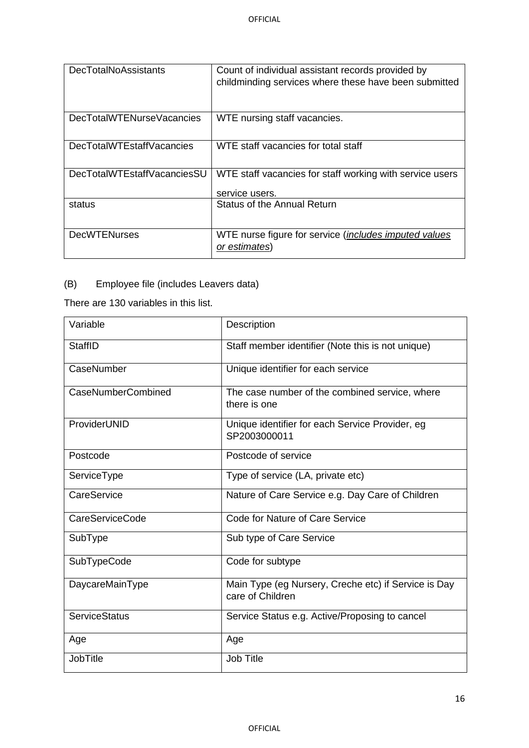| <b>DecTotalNoAssistants</b> | Count of individual assistant records provided by<br>childminding services where these have been submitted |
|-----------------------------|------------------------------------------------------------------------------------------------------------|
| DecTotalWTENurseVacancies   | WTE nursing staff vacancies.                                                                               |
| DecTotalWTEstaffVacancies   | WTE staff vacancies for total staff                                                                        |
| DecTotalWTEstaffVacanciesSU | WTE staff vacancies for staff working with service users<br>service users.                                 |
| status                      | Status of the Annual Return                                                                                |
| <b>DecWTENurses</b>         | WTE nurse figure for service (includes imputed values<br>or estimates)                                     |

# (B) Employee file (includes Leavers data)

There are 130 variables in this list.

| Variable               | Description                                                              |
|------------------------|--------------------------------------------------------------------------|
| <b>StaffID</b>         | Staff member identifier (Note this is not unique)                        |
| CaseNumber             | Unique identifier for each service                                       |
| CaseNumberCombined     | The case number of the combined service, where<br>there is one           |
| ProviderUNID           | Unique identifier for each Service Provider, eg<br>SP2003000011          |
| Postcode               | Postcode of service                                                      |
| ServiceType            | Type of service (LA, private etc)                                        |
| CareService            | Nature of Care Service e.g. Day Care of Children                         |
| <b>CareServiceCode</b> | Code for Nature of Care Service                                          |
| SubType                | Sub type of Care Service                                                 |
| SubTypeCode            | Code for subtype                                                         |
| DaycareMainType        | Main Type (eg Nursery, Creche etc) if Service is Day<br>care of Children |
| <b>ServiceStatus</b>   | Service Status e.g. Active/Proposing to cancel                           |
| Age                    | Age                                                                      |
| <b>JobTitle</b>        | Job Title                                                                |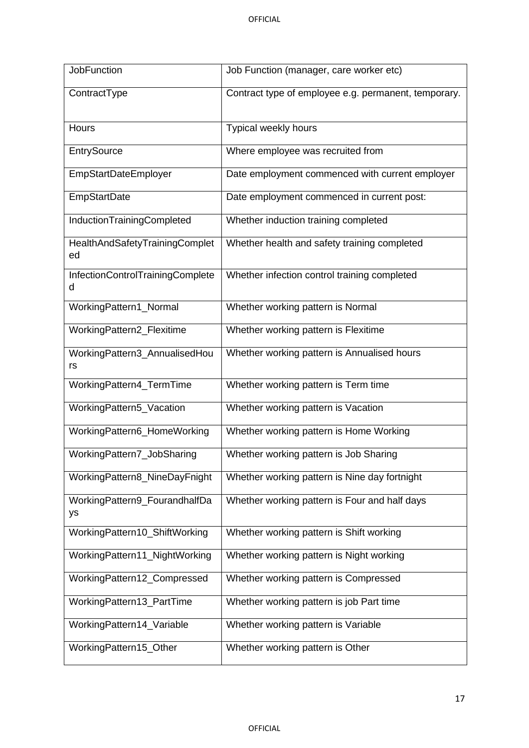| <b>JobFunction</b>                    | Job Function (manager, care worker etc)              |
|---------------------------------------|------------------------------------------------------|
| ContractType                          | Contract type of employee e.g. permanent, temporary. |
| <b>Hours</b>                          | Typical weekly hours                                 |
| EntrySource                           | Where employee was recruited from                    |
| <b>EmpStartDateEmployer</b>           | Date employment commenced with current employer      |
| <b>EmpStartDate</b>                   | Date employment commenced in current post:           |
| InductionTrainingCompleted            | Whether induction training completed                 |
| HealthAndSafetyTrainingComplet<br>ed  | Whether health and safety training completed         |
| InfectionControlTrainingComplete<br>d | Whether infection control training completed         |
| WorkingPattern1_Normal                | Whether working pattern is Normal                    |
| WorkingPattern2_Flexitime             | Whether working pattern is Flexitime                 |
| WorkingPattern3_AnnualisedHou<br>rs   | Whether working pattern is Annualised hours          |
| WorkingPattern4_TermTime              | Whether working pattern is Term time                 |
| WorkingPattern5_Vacation              | Whether working pattern is Vacation                  |
| WorkingPattern6_HomeWorking           | Whether working pattern is Home Working              |
| WorkingPattern7_JobSharing            | Whether working pattern is Job Sharing               |
| WorkingPattern8_NineDayFnight         | Whether working pattern is Nine day fortnight        |
| WorkingPattern9_FourandhalfDa<br>ys   | Whether working pattern is Four and half days        |
| WorkingPattern10_ShiftWorking         | Whether working pattern is Shift working             |
| WorkingPattern11_NightWorking         | Whether working pattern is Night working             |
| WorkingPattern12_Compressed           | Whether working pattern is Compressed                |
| WorkingPattern13_PartTime             | Whether working pattern is job Part time             |
| WorkingPattern14_Variable             | Whether working pattern is Variable                  |
| WorkingPattern15_Other                | Whether working pattern is Other                     |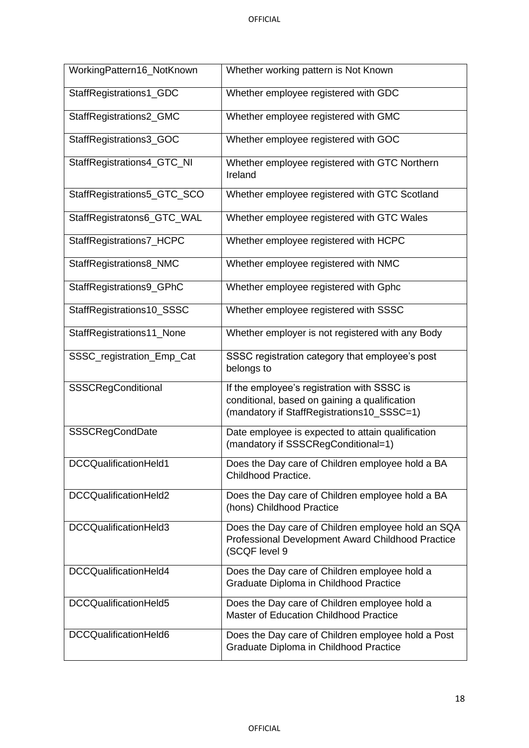| WorkingPattern16_NotKnown   | Whether working pattern is Not Known                                                                                                       |
|-----------------------------|--------------------------------------------------------------------------------------------------------------------------------------------|
| StaffRegistrations1_GDC     | Whether employee registered with GDC                                                                                                       |
| StaffRegistrations2_GMC     | Whether employee registered with GMC                                                                                                       |
| StaffRegistrations3_GOC     | Whether employee registered with GOC                                                                                                       |
| StaffRegistrations4_GTC_NI  | Whether employee registered with GTC Northern<br>Ireland                                                                                   |
| StaffRegistrations5_GTC_SCO | Whether employee registered with GTC Scotland                                                                                              |
| StaffRegistratons6_GTC_WAL  | Whether employee registered with GTC Wales                                                                                                 |
| StaffRegistrations7_HCPC    | Whether employee registered with HCPC                                                                                                      |
| StaffRegistrations8_NMC     | Whether employee registered with NMC                                                                                                       |
| StaffRegistrations9_GPhC    | Whether employee registered with Gphc                                                                                                      |
| StaffRegistrations10_SSSC   | Whether employee registered with SSSC                                                                                                      |
| StaffRegistrations11_None   | Whether employer is not registered with any Body                                                                                           |
| SSSC_registration_Emp_Cat   | SSSC registration category that employee's post<br>belongs to                                                                              |
| SSSCRegConditional          | If the employee's registration with SSSC is<br>conditional, based on gaining a qualification<br>(mandatory if StaffRegistrations10_SSSC=1) |
| SSSCRegCondDate             | Date employee is expected to attain qualification<br>(mandatory if SSSCRegConditional=1)                                                   |
| DCCQualificationHeld1       | Does the Day care of Children employee hold a BA<br>Childhood Practice.                                                                    |
| DCCQualificationHeld2       | Does the Day care of Children employee hold a BA<br>(hons) Childhood Practice                                                              |
| DCCQualificationHeld3       | Does the Day care of Children employee hold an SQA<br>Professional Development Award Childhood Practice<br>(SCQF level 9                   |
| DCCQualificationHeld4       | Does the Day care of Children employee hold a<br>Graduate Diploma in Childhood Practice                                                    |
| DCCQualificationHeld5       | Does the Day care of Children employee hold a<br><b>Master of Education Childhood Practice</b>                                             |
| DCCQualificationHeld6       | Does the Day care of Children employee hold a Post<br>Graduate Diploma in Childhood Practice                                               |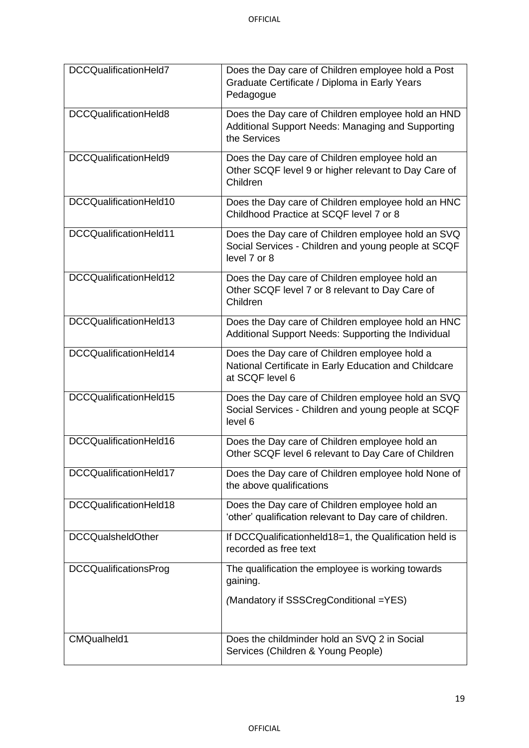| DCCQualificationHeld7        | Does the Day care of Children employee hold a Post<br>Graduate Certificate / Diploma in Early Years<br>Pedagogue          |
|------------------------------|---------------------------------------------------------------------------------------------------------------------------|
| DCCQualificationHeld8        | Does the Day care of Children employee hold an HND<br>Additional Support Needs: Managing and Supporting<br>the Services   |
| DCCQualificationHeld9        | Does the Day care of Children employee hold an<br>Other SCQF level 9 or higher relevant to Day Care of<br>Children        |
| DCCQualificationHeld10       | Does the Day care of Children employee hold an HNC<br>Childhood Practice at SCQF level 7 or 8                             |
| DCCQualificationHeld11       | Does the Day care of Children employee hold an SVQ<br>Social Services - Children and young people at SCQF<br>level 7 or 8 |
| DCCQualificationHeld12       | Does the Day care of Children employee hold an<br>Other SCQF level 7 or 8 relevant to Day Care of<br>Children             |
| DCCQualificationHeld13       | Does the Day care of Children employee hold an HNC<br>Additional Support Needs: Supporting the Individual                 |
| DCCQualificationHeld14       | Does the Day care of Children employee hold a<br>National Certificate in Early Education and Childcare<br>at SCQF level 6 |
| DCCQualificationHeld15       | Does the Day care of Children employee hold an SVQ<br>Social Services - Children and young people at SCQF<br>level 6      |
| DCCQualificationHeld16       | Does the Day care of Children employee hold an<br>Other SCQF level 6 relevant to Day Care of Children                     |
| DCCQualificationHeld17       | Does the Day care of Children employee hold None of<br>the above qualifications                                           |
| DCCQualificationHeld18       | Does the Day care of Children employee hold an<br>'other' qualification relevant to Day care of children.                 |
| <b>DCCQualsheldOther</b>     | If DCCQualificationheld18=1, the Qualification held is<br>recorded as free text                                           |
| <b>DCCQualificationsProg</b> | The qualification the employee is working towards<br>gaining.                                                             |
|                              | (Mandatory if SSSCregConditional =YES)                                                                                    |
| CMQualheld1                  | Does the childminder hold an SVQ 2 in Social<br>Services (Children & Young People)                                        |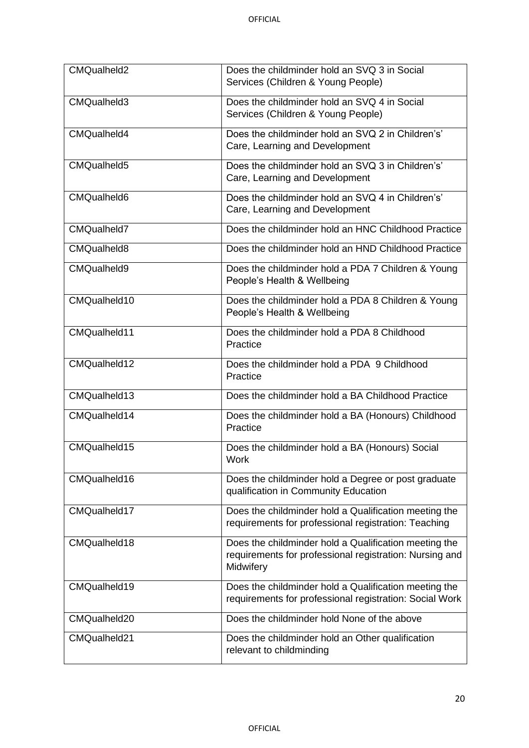| CMQualheld2        | Does the childminder hold an SVQ 3 in Social<br>Services (Children & Young People)                                            |
|--------------------|-------------------------------------------------------------------------------------------------------------------------------|
| CMQualheld3        | Does the childminder hold an SVQ 4 in Social<br>Services (Children & Young People)                                            |
| CMQualheld4        | Does the childminder hold an SVQ 2 in Children's'<br>Care, Learning and Development                                           |
| CMQualheld5        | Does the childminder hold an SVQ 3 in Children's'<br>Care, Learning and Development                                           |
| CMQualheld6        | Does the childminder hold an SVQ 4 in Children's'<br>Care, Learning and Development                                           |
| CMQualheld7        | Does the childminder hold an HNC Childhood Practice                                                                           |
| <b>CMQualheld8</b> | Does the childminder hold an HND Childhood Practice                                                                           |
| CMQualheld9        | Does the childminder hold a PDA 7 Children & Young<br>People's Health & Wellbeing                                             |
| CMQualheld10       | Does the childminder hold a PDA 8 Children & Young<br>People's Health & Wellbeing                                             |
| CMQualheld11       | Does the childminder hold a PDA 8 Childhood<br>Practice                                                                       |
| CMQualheld12       | Does the childminder hold a PDA 9 Childhood<br>Practice                                                                       |
| CMQualheld13       | Does the childminder hold a BA Childhood Practice                                                                             |
| CMQualheld14       | Does the childminder hold a BA (Honours) Childhood<br>Practice                                                                |
| CMQualheld15       | Does the childminder hold a BA (Honours) Social<br>Work                                                                       |
| CMQualheld16       | Does the childminder hold a Degree or post graduate<br>qualification in Community Education                                   |
| CMQualheld17       | Does the childminder hold a Qualification meeting the<br>requirements for professional registration: Teaching                 |
| CMQualheld18       | Does the childminder hold a Qualification meeting the<br>requirements for professional registration: Nursing and<br>Midwifery |
| CMQualheld19       | Does the childminder hold a Qualification meeting the<br>requirements for professional registration: Social Work              |
| CMQualheld20       | Does the childminder hold None of the above                                                                                   |
| CMQualheld21       | Does the childminder hold an Other qualification<br>relevant to childminding                                                  |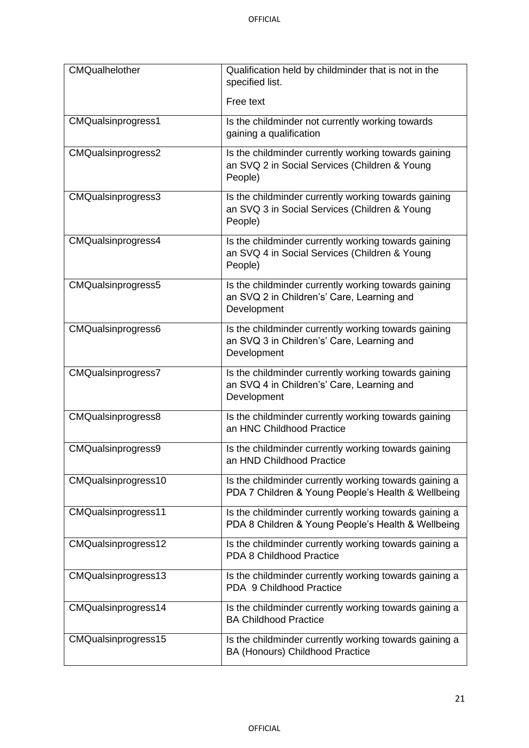| <b>CMQualhelother</b>     | Qualification held by childminder that is not in the<br>specified list.                                           |
|---------------------------|-------------------------------------------------------------------------------------------------------------------|
|                           | Free text                                                                                                         |
| <b>CMQualsinprogress1</b> | Is the childminder not currently working towards<br>gaining a qualification                                       |
| CMQualsinprogress2        | Is the childminder currently working towards gaining<br>an SVQ 2 in Social Services (Children & Young<br>People)  |
| CMQualsinprogress3        | Is the childminder currently working towards gaining<br>an SVQ 3 in Social Services (Children & Young<br>People)  |
| CMQualsinprogress4        | Is the childminder currently working towards gaining<br>an SVQ 4 in Social Services (Children & Young<br>People)  |
| CMQualsinprogress5        | Is the childminder currently working towards gaining<br>an SVQ 2 in Children's' Care, Learning and<br>Development |
| CMQualsinprogress6        | Is the childminder currently working towards gaining<br>an SVQ 3 in Children's' Care, Learning and<br>Development |
| CMQualsinprogress7        | Is the childminder currently working towards gaining<br>an SVQ 4 in Children's' Care, Learning and<br>Development |
| CMQualsinprogress8        | Is the childminder currently working towards gaining<br>an HNC Childhood Practice                                 |
| CMQualsinprogress9        | Is the childminder currently working towards gaining<br>an HND Childhood Practice                                 |
| CMQualsinprogress10       | Is the childminder currently working towards gaining a<br>PDA 7 Children & Young People's Health & Wellbeing      |
| CMQualsinprogress11       | Is the childminder currently working towards gaining a<br>PDA 8 Children & Young People's Health & Wellbeing      |
| CMQualsinprogress12       | Is the childminder currently working towards gaining a<br>PDA 8 Childhood Practice                                |
| CMQualsinprogress13       | Is the childminder currently working towards gaining a<br>PDA 9 Childhood Practice                                |
| CMQualsinprogress14       | Is the childminder currently working towards gaining a<br><b>BA Childhood Practice</b>                            |
| CMQualsinprogress15       | Is the childminder currently working towards gaining a<br>BA (Honours) Childhood Practice                         |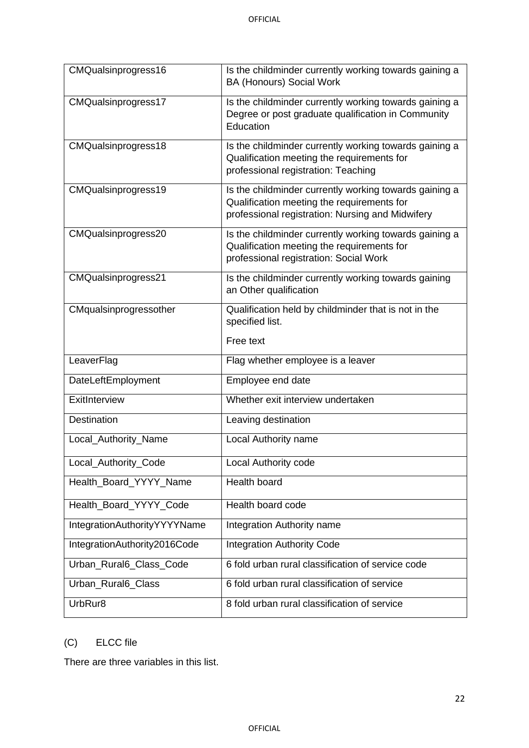| CMQualsinprogress16          | Is the childminder currently working towards gaining a<br><b>BA (Honours) Social Work</b>                                                                |
|------------------------------|----------------------------------------------------------------------------------------------------------------------------------------------------------|
| CMQualsinprogress17          | Is the childminder currently working towards gaining a<br>Degree or post graduate qualification in Community<br>Education                                |
| CMQualsinprogress18          | Is the childminder currently working towards gaining a<br>Qualification meeting the requirements for<br>professional registration: Teaching              |
| CMQualsinprogress19          | Is the childminder currently working towards gaining a<br>Qualification meeting the requirements for<br>professional registration: Nursing and Midwifery |
| CMQualsinprogress20          | Is the childminder currently working towards gaining a<br>Qualification meeting the requirements for<br>professional registration: Social Work           |
| CMQualsinprogress21          | Is the childminder currently working towards gaining<br>an Other qualification                                                                           |
| CMqualsinprogressother       | Qualification held by childminder that is not in the<br>specified list.<br>Free text                                                                     |
| LeaverFlag                   | Flag whether employee is a leaver                                                                                                                        |
| DateLeftEmployment           | Employee end date                                                                                                                                        |
| ExitInterview                | Whether exit interview undertaken                                                                                                                        |
| Destination                  | Leaving destination                                                                                                                                      |
| Local_Authority_Name         | Local Authority name                                                                                                                                     |
| Local_Authority_Code         | <b>Local Authority code</b>                                                                                                                              |
| Health_Board_YYYY_Name       | Health board                                                                                                                                             |
| Health_Board_YYYY_Code       | Health board code                                                                                                                                        |
| IntegrationAuthorityYYYYName | Integration Authority name                                                                                                                               |
| IntegrationAuthority2016Code | <b>Integration Authority Code</b>                                                                                                                        |
| Urban_Rural6_Class_Code      | 6 fold urban rural classification of service code                                                                                                        |
| Urban_Rural6_Class           | 6 fold urban rural classification of service                                                                                                             |
| UrbRur8                      | 8 fold urban rural classification of service                                                                                                             |

# (C) ELCC file

There are three variables in this list.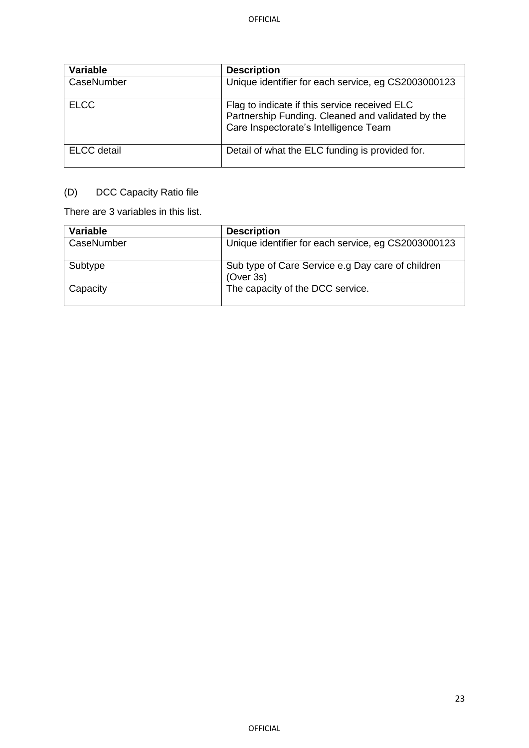| <b>Variable</b>    | <b>Description</b>                                                                                                                          |
|--------------------|---------------------------------------------------------------------------------------------------------------------------------------------|
| CaseNumber         | Unique identifier for each service, eg CS2003000123                                                                                         |
| <b>ELCC</b>        | Flag to indicate if this service received ELC<br>Partnership Funding. Cleaned and validated by the<br>Care Inspectorate's Intelligence Team |
| <b>ELCC</b> detail | Detail of what the ELC funding is provided for.                                                                                             |

# (D) DCC Capacity Ratio file

There are 3 variables in this list.

| Variable   | <b>Description</b>                                             |
|------------|----------------------------------------------------------------|
| CaseNumber | Unique identifier for each service, eg CS2003000123            |
| Subtype    | Sub type of Care Service e.g Day care of children<br>(Over 3s) |
| Capacity   | The capacity of the DCC service.                               |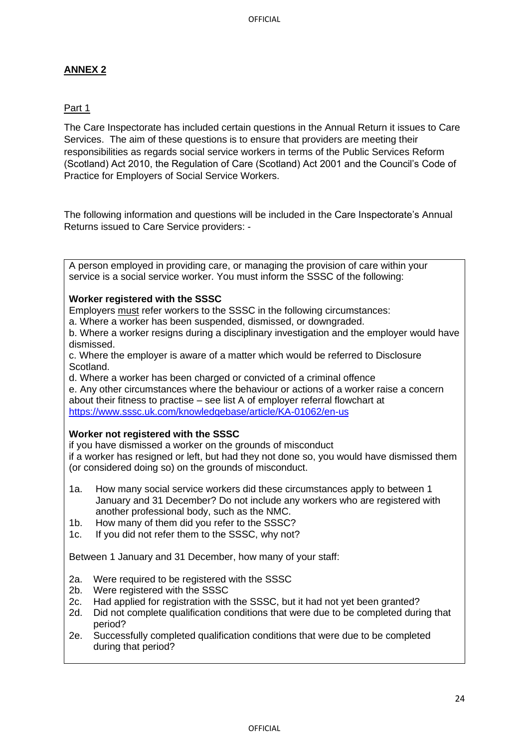# **ANNEX 2**

## Part 1

The Care Inspectorate has included certain questions in the Annual Return it issues to Care Services. The aim of these questions is to ensure that providers are meeting their responsibilities as regards social service workers in terms of the Public Services Reform (Scotland) Act 2010, the Regulation of Care (Scotland) Act 2001 and the Council's Code of Practice for Employers of Social Service Workers.

The following information and questions will be included in the Care Inspectorate's Annual Returns issued to Care Service providers: -

A person employed in providing care, or managing the provision of care within your service is a social service worker. You must inform the SSSC of the following:

#### **Worker registered with the SSSC**

Employers must refer workers to the SSSC in the following circumstances:

a. Where a worker has been suspended, dismissed, or downgraded.

b. Where a worker resigns during a disciplinary investigation and the employer would have dismissed.

c. Where the employer is aware of a matter which would be referred to Disclosure Scotland.

d. Where a worker has been charged or convicted of a criminal offence e. Any other circumstances where the behaviour or actions of a worker raise a concern about their fitness to practise – see list A of employer referral flowchart at https://www.sssc.uk.com/knowledgebase/article/KA-01062/en-us

#### **Worker not registered with the SSSC**

if you have dismissed a worker on the grounds of misconduct if a worker has resigned or left, but had they not done so, you would have dismissed them (or considered doing so) on the grounds of misconduct.

- 1a. How many social service workers did these circumstances apply to between 1 January and 31 December? Do not include any workers who are registered with another professional body, such as the NMC.
- 1b. How many of them did you refer to the SSSC?
- 1c. If you did not refer them to the SSSC, why not?

Between 1 January and 31 December, how many of your staff:

- 2a. Were required to be registered with the SSSC
- 2b. Were registered with the SSSC
- 2c. Had applied for registration with the SSSC, but it had not yet been granted?
- 2d. Did not complete qualification conditions that were due to be completed during that period?
- 2e. Successfully completed qualification conditions that were due to be completed during that period?